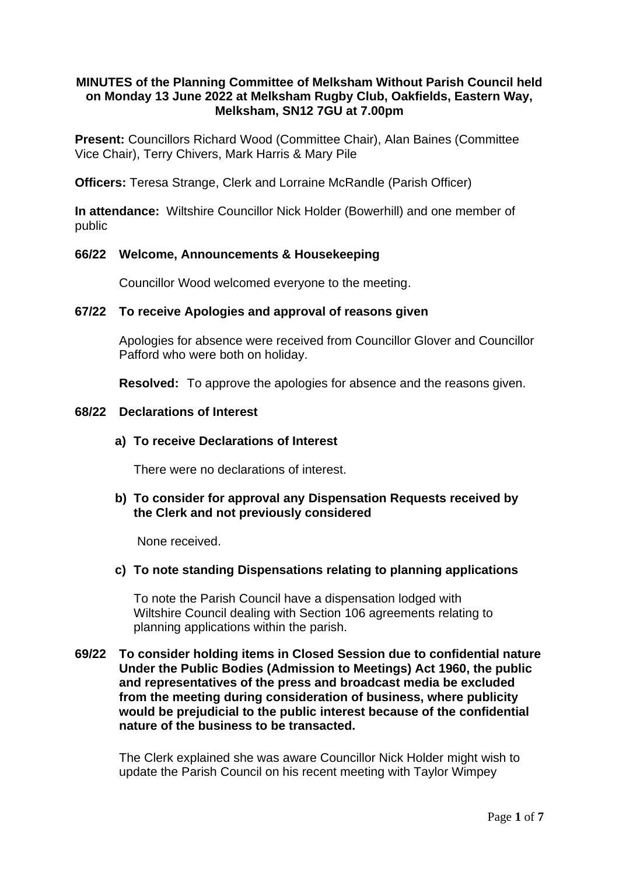# **MINUTES of the Planning Committee of Melksham Without Parish Council held on Monday 13 June 2022 at Melksham Rugby Club, Oakfields, Eastern Way, Melksham, SN12 7GU at 7.00pm**

**Present:** Councillors Richard Wood (Committee Chair), Alan Baines (Committee Vice Chair), Terry Chivers, Mark Harris & Mary Pile

**Officers:** Teresa Strange, Clerk and Lorraine McRandle (Parish Officer)

**In attendance:** Wiltshire Councillor Nick Holder (Bowerhill) and one member of public

### **66/22 Welcome, Announcements & Housekeeping**

Councillor Wood welcomed everyone to the meeting.

### **67/22 To receive Apologies and approval of reasons given**

Apologies for absence were received from Councillor Glover and Councillor Pafford who were both on holiday.

**Resolved:** To approve the apologies for absence and the reasons given.

### **68/22 Declarations of Interest**

### **a) To receive Declarations of Interest**

There were no declarations of interest.

### **b) To consider for approval any Dispensation Requests received by the Clerk and not previously considered**

None received.

### **c) To note standing Dispensations relating to planning applications**

To note the Parish Council have a dispensation lodged with Wiltshire Council dealing with Section 106 agreements relating to planning applications within the parish.

## **69/22 To consider holding items in Closed Session due to confidential nature Under the Public Bodies (Admission to Meetings) Act 1960, the public and representatives of the press and broadcast media be excluded from the meeting during consideration of business, where publicity would be prejudicial to the public interest because of the confidential nature of the business to be transacted.**

The Clerk explained she was aware Councillor Nick Holder might wish to update the Parish Council on his recent meeting with Taylor Wimpey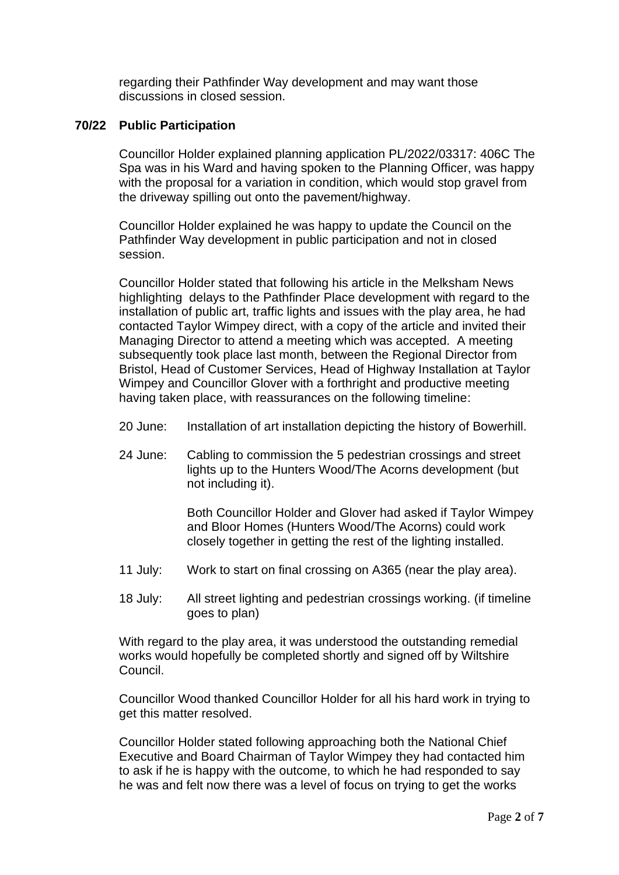regarding their Pathfinder Way development and may want those discussions in closed session.

## **70/22 Public Participation**

Councillor Holder explained planning application PL/2022/03317: 406C The Spa was in his Ward and having spoken to the Planning Officer, was happy with the proposal for a variation in condition, which would stop gravel from the driveway spilling out onto the pavement/highway.

Councillor Holder explained he was happy to update the Council on the Pathfinder Way development in public participation and not in closed session.

Councillor Holder stated that following his article in the Melksham News highlighting delays to the Pathfinder Place development with regard to the installation of public art, traffic lights and issues with the play area, he had contacted Taylor Wimpey direct, with a copy of the article and invited their Managing Director to attend a meeting which was accepted. A meeting subsequently took place last month, between the Regional Director from Bristol, Head of Customer Services, Head of Highway Installation at Taylor Wimpey and Councillor Glover with a forthright and productive meeting having taken place, with reassurances on the following timeline:

- 20 June: Installation of art installation depicting the history of Bowerhill.
- 24 June: Cabling to commission the 5 pedestrian crossings and street lights up to the Hunters Wood/The Acorns development (but not including it).

Both Councillor Holder and Glover had asked if Taylor Wimpey and Bloor Homes (Hunters Wood/The Acorns) could work closely together in getting the rest of the lighting installed.

- 11 July: Work to start on final crossing on A365 (near the play area).
- 18 July: All street lighting and pedestrian crossings working. (if timeline goes to plan)

With regard to the play area, it was understood the outstanding remedial works would hopefully be completed shortly and signed off by Wiltshire Council.

Councillor Wood thanked Councillor Holder for all his hard work in trying to get this matter resolved.

Councillor Holder stated following approaching both the National Chief Executive and Board Chairman of Taylor Wimpey they had contacted him to ask if he is happy with the outcome, to which he had responded to say he was and felt now there was a level of focus on trying to get the works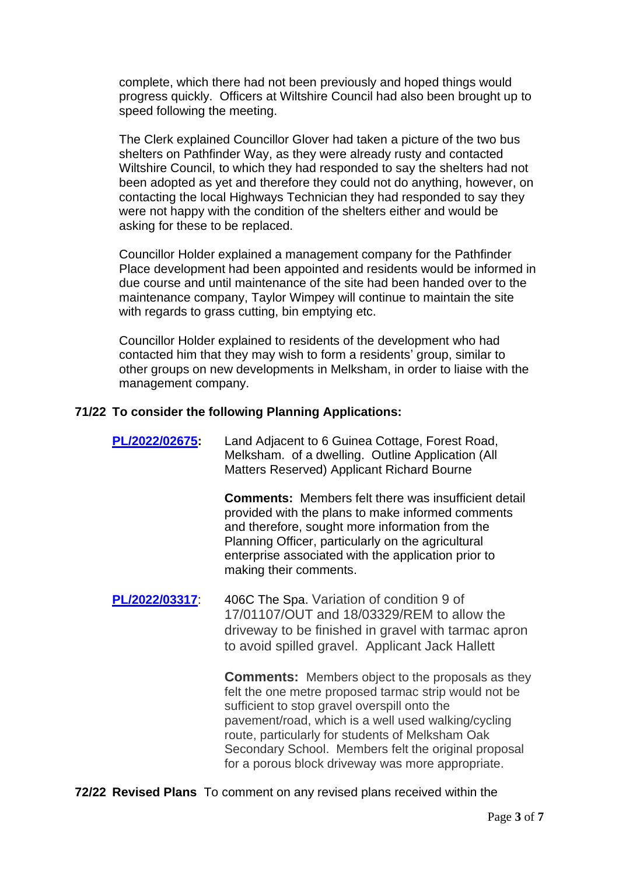complete, which there had not been previously and hoped things would progress quickly. Officers at Wiltshire Council had also been brought up to speed following the meeting.

The Clerk explained Councillor Glover had taken a picture of the two bus shelters on Pathfinder Way, as they were already rusty and contacted Wiltshire Council, to which they had responded to say the shelters had not been adopted as yet and therefore they could not do anything, however, on contacting the local Highways Technician they had responded to say they were not happy with the condition of the shelters either and would be asking for these to be replaced.

Councillor Holder explained a management company for the Pathfinder Place development had been appointed and residents would be informed in due course and until maintenance of the site had been handed over to the maintenance company, Taylor Wimpey will continue to maintain the site with regards to grass cutting, bin emptying etc.

Councillor Holder explained to residents of the development who had contacted him that they may wish to form a residents' group, similar to other groups on new developments in Melksham, in order to liaise with the management company.

### **71/22 To consider the following Planning Applications:**

**[PL/2022/02675:](https://development.wiltshire.gov.uk/pr/s/planning-application/a0i3z0000182qtCAAQ/pl202202675)** Land Adjacent to 6 Guinea Cottage, Forest Road, Melksham. of a dwelling. Outline Application (All Matters Reserved) Applicant Richard Bourne

**Comments:** Members felt there was insufficient detail provided with the plans to make informed comments and therefore, sought more information from the Planning Officer, particularly on the agricultural enterprise associated with the application prior to making their comments.

**[PL/2022/03317](https://development.wiltshire.gov.uk/pr/s/planning-application/a0i3z0000184e2UAAQ/pl202203317)**: 406C The Spa. Variation of condition 9 of 17/01107/OUT and 18/03329/REM to allow the driveway to be finished in gravel with tarmac apron to avoid spilled gravel. Applicant Jack Hallett

> **Comments:** Members object to the proposals as they felt the one metre proposed tarmac strip would not be sufficient to stop gravel overspill onto the pavement/road, which is a well used walking/cycling route, particularly for students of Melksham Oak Secondary School. Members felt the original proposal for a porous block driveway was more appropriate.

**72/22 Revised Plans** To comment on any revised plans received within the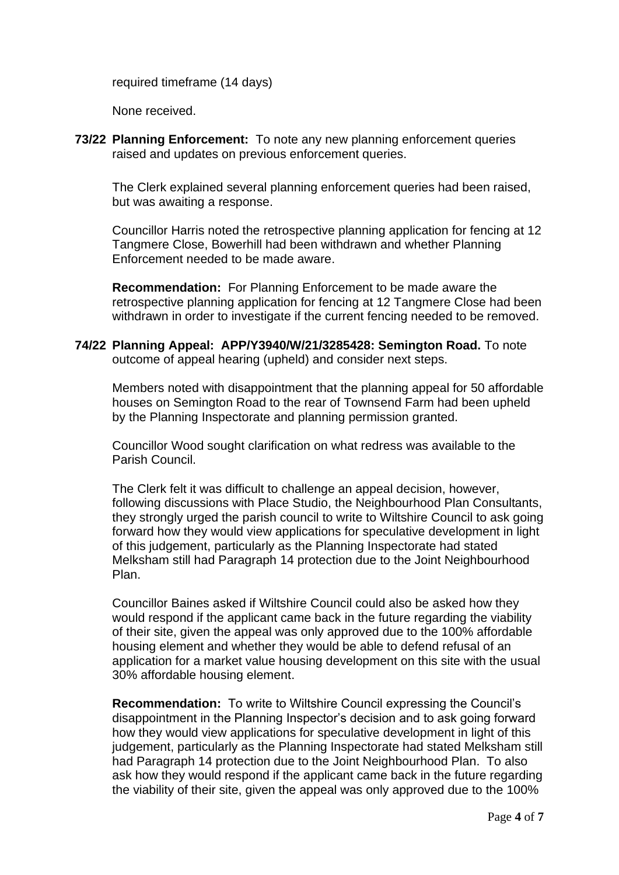required timeframe (14 days)

None received.

**73/22 Planning Enforcement:** To note any new planning enforcement queries raised and updates on previous enforcement queries.

The Clerk explained several planning enforcement queries had been raised, but was awaiting a response.

Councillor Harris noted the retrospective planning application for fencing at 12 Tangmere Close, Bowerhill had been withdrawn and whether Planning Enforcement needed to be made aware.

**Recommendation:** For Planning Enforcement to be made aware the retrospective planning application for fencing at 12 Tangmere Close had been withdrawn in order to investigate if the current fencing needed to be removed.

**74/22 Planning Appeal: APP/Y3940/W/21/3285428: Semington Road.** To note outcome of appeal hearing (upheld) and consider next steps.

Members noted with disappointment that the planning appeal for 50 affordable houses on Semington Road to the rear of Townsend Farm had been upheld by the Planning Inspectorate and planning permission granted.

Councillor Wood sought clarification on what redress was available to the Parish Council.

The Clerk felt it was difficult to challenge an appeal decision, however, following discussions with Place Studio, the Neighbourhood Plan Consultants, they strongly urged the parish council to write to Wiltshire Council to ask going forward how they would view applications for speculative development in light of this judgement, particularly as the Planning Inspectorate had stated Melksham still had Paragraph 14 protection due to the Joint Neighbourhood Plan.

Councillor Baines asked if Wiltshire Council could also be asked how they would respond if the applicant came back in the future regarding the viability of their site, given the appeal was only approved due to the 100% affordable housing element and whether they would be able to defend refusal of an application for a market value housing development on this site with the usual 30% affordable housing element.

**Recommendation:** To write to Wiltshire Council expressing the Council's disappointment in the Planning Inspector's decision and to ask going forward how they would view applications for speculative development in light of this judgement, particularly as the Planning Inspectorate had stated Melksham still had Paragraph 14 protection due to the Joint Neighbourhood Plan. To also ask how they would respond if the applicant came back in the future regarding the viability of their site, given the appeal was only approved due to the 100%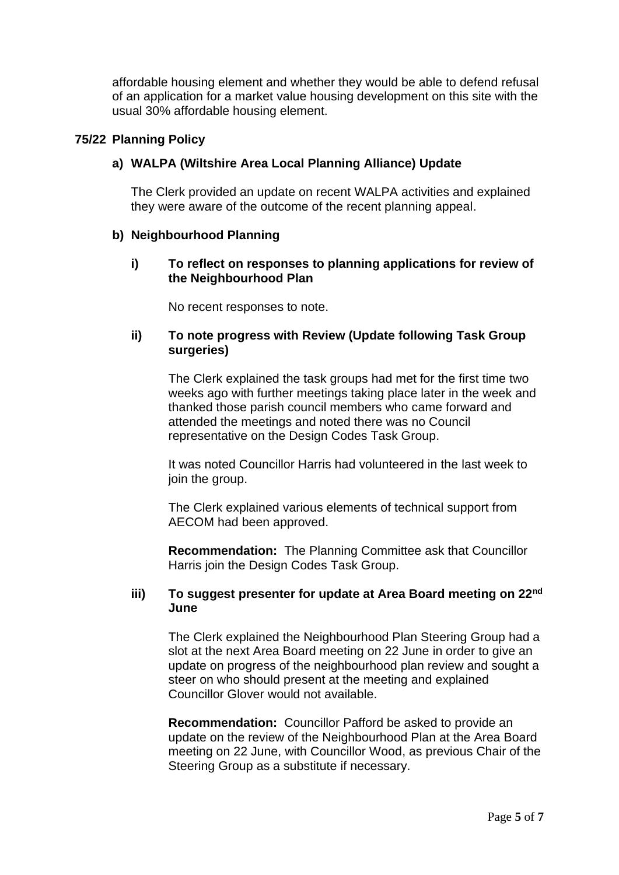affordable housing element and whether they would be able to defend refusal of an application for a market value housing development on this site with the usual 30% affordable housing element.

## **75/22 Planning Policy**

# **a) WALPA (Wiltshire Area Local Planning Alliance) Update**

The Clerk provided an update on recent WALPA activities and explained they were aware of the outcome of the recent planning appeal.

### **b) Neighbourhood Planning**

# **i) To reflect on responses to planning applications for review of the Neighbourhood Plan**

No recent responses to note.

# **ii) To note progress with Review (Update following Task Group surgeries)**

The Clerk explained the task groups had met for the first time two weeks ago with further meetings taking place later in the week and thanked those parish council members who came forward and attended the meetings and noted there was no Council representative on the Design Codes Task Group.

It was noted Councillor Harris had volunteered in the last week to join the group.

The Clerk explained various elements of technical support from AECOM had been approved.

**Recommendation:** The Planning Committee ask that Councillor Harris join the Design Codes Task Group.

### **iii) To suggest presenter for update at Area Board meeting on 22nd June**

The Clerk explained the Neighbourhood Plan Steering Group had a slot at the next Area Board meeting on 22 June in order to give an update on progress of the neighbourhood plan review and sought a steer on who should present at the meeting and explained Councillor Glover would not available.

**Recommendation:** Councillor Pafford be asked to provide an update on the review of the Neighbourhood Plan at the Area Board meeting on 22 June, with Councillor Wood, as previous Chair of the Steering Group as a substitute if necessary.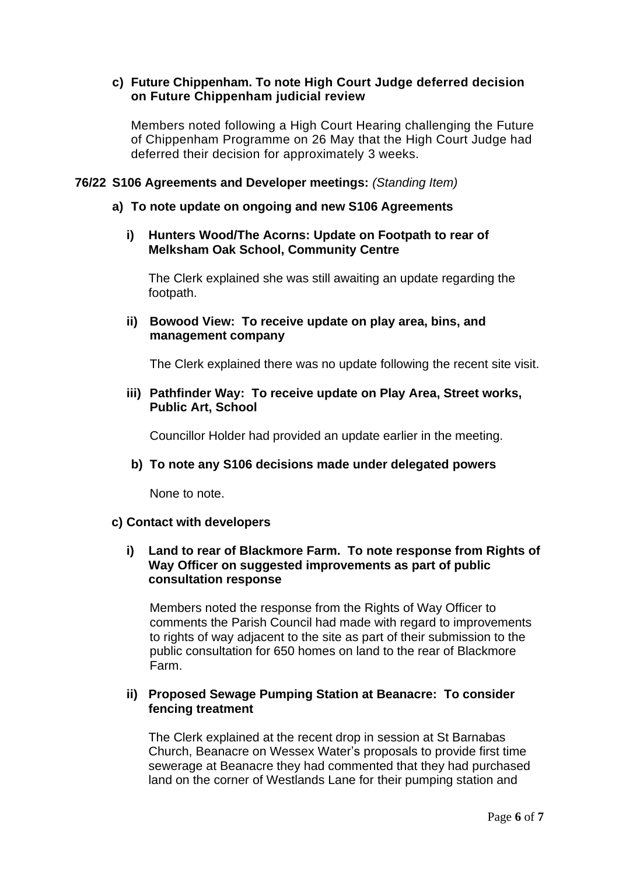# **c) Future Chippenham. To note High Court Judge deferred decision on Future Chippenham judicial review**

Members noted following a High Court Hearing challenging the Future of Chippenham Programme on 26 May that the High Court Judge had deferred their decision for approximately 3 weeks.

## **76/22 S106 Agreements and Developer meetings:** *(Standing Item)*

## **a) To note update on ongoing and new S106 Agreements**

## **i) Hunters Wood/The Acorns: Update on Footpath to rear of Melksham Oak School, Community Centre**

The Clerk explained she was still awaiting an update regarding the footpath.

# **ii) Bowood View: To receive update on play area, bins, and management company**

The Clerk explained there was no update following the recent site visit.

### **iii) Pathfinder Way: To receive update on Play Area, Street works, Public Art, School**

Councillor Holder had provided an update earlier in the meeting.

# **b) To note any S106 decisions made under delegated powers**

None to note.

### **c) Contact with developers**

## **i) Land to rear of Blackmore Farm. To note response from Rights of Way Officer on suggested improvements as part of public consultation response**

Members noted the response from the Rights of Way Officer to comments the Parish Council had made with regard to improvements to rights of way adjacent to the site as part of their submission to the public consultation for 650 homes on land to the rear of Blackmore Farm.

# **ii) Proposed Sewage Pumping Station at Beanacre: To consider fencing treatment**

The Clerk explained at the recent drop in session at St Barnabas Church, Beanacre on Wessex Water's proposals to provide first time sewerage at Beanacre they had commented that they had purchased land on the corner of Westlands Lane for their pumping station and